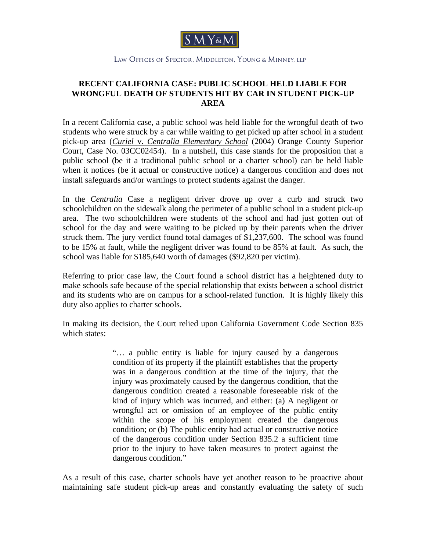

## LAW OFFICES OF SPECTOR, MIDDLETON, YOUNG & MINNEY, LLP

## **RECENT CALIFORNIA CASE: PUBLIC SCHOOL HELD LIABLE FOR WRONGFUL DEATH OF STUDENTS HIT BY CAR IN STUDENT PICK-UP AREA**

In a recent California case, a public school was held liable for the wrongful death of two students who were struck by a car while waiting to get picked up after school in a student pick-up area (*Curiel* v. *Centralia Elementary School* (2004) Orange County Superior Court, Case No. 03CC02454). In a nutshell, this case stands for the proposition that a public school (be it a traditional public school or a charter school) can be held liable when it notices (be it actual or constructive notice) a dangerous condition and does not install safeguards and/or warnings to protect students against the danger.

In the *Centralia* Case a negligent driver drove up over a curb and struck two schoolchildren on the sidewalk along the perimeter of a public school in a student pick-up area. The two schoolchildren were students of the school and had just gotten out of school for the day and were waiting to be picked up by their parents when the driver struck them. The jury verdict found total damages of \$1,237,600. The school was found to be 15% at fault, while the negligent driver was found to be 85% at fault. As such, the school was liable for \$185,640 worth of damages (\$92,820 per victim).

Referring to prior case law, the Court found a school district has a heightened duty to make schools safe because of the special relationship that exists between a school district and its students who are on campus for a school-related function. It is highly likely this duty also applies to charter schools.

In making its decision, the Court relied upon California Government Code Section 835 which states:

> "… a public entity is liable for injury caused by a dangerous condition of its property if the plaintiff establishes that the property was in a dangerous condition at the time of the injury, that the injury was proximately caused by the dangerous condition, that the dangerous condition created a reasonable foreseeable risk of the kind of injury which was incurred, and either: (a) A negligent or wrongful act or omission of an employee of the public entity within the scope of his employment created the dangerous condition; or (b) The public entity had actual or constructive notice of the dangerous condition under Section 835.2 a sufficient time prior to the injury to have taken measures to protect against the dangerous condition."

As a result of this case, charter schools have yet another reason to be proactive about maintaining safe student pick-up areas and constantly evaluating the safety of such